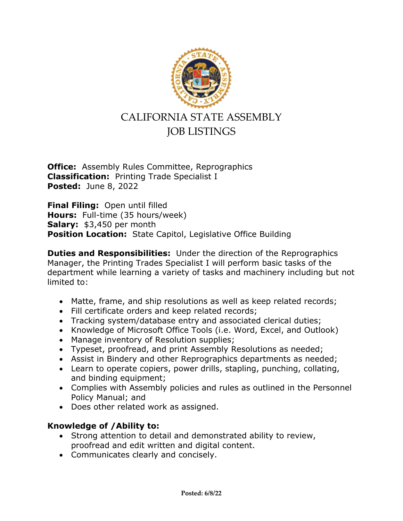

## CALIFORNIA STATE ASSEMBLY JOB LISTINGS

**Office:** Assembly Rules Committee, Reprographics **Classification:** Printing Trade Specialist I **Posted:** June 8, 2022

**Final Filing:** Open until filled **Hours:** Full-time (35 hours/week) **Salary:** \$3,450 per month **Position Location:** State Capitol, Legislative Office Building

**Duties and Responsibilities:** Under the direction of the Reprographics Manager, the Printing Trades Specialist I will perform basic tasks of the department while learning a variety of tasks and machinery including but not limited to:

- Matte, frame, and ship resolutions as well as keep related records;
- Fill certificate orders and keep related records;
- Tracking system/database entry and associated clerical duties;
- Knowledge of Microsoft Office Tools (i.e. Word, Excel, and Outlook)
- Manage inventory of Resolution supplies;
- Typeset, proofread, and print Assembly Resolutions as needed;
- Assist in Bindery and other Reprographics departments as needed;
- Learn to operate copiers, power drills, stapling, punching, collating, and binding equipment;
- Complies with Assembly policies and rules as outlined in the Personnel Policy Manual; and
- Does other related work as assigned.

## **Knowledge of /Ability to:**

- Strong attention to detail and demonstrated ability to review, proofread and edit written and digital content.
- Communicates clearly and concisely.